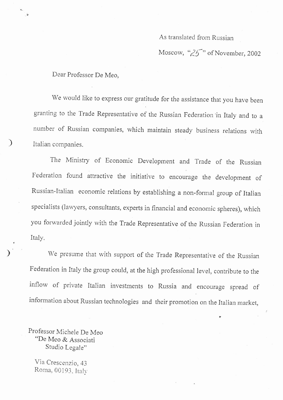## As translated from Russian

Moscow, " $25$ " of November, 2002

Dear Professor De Meo,

)

)

We would like to express our gratitude for the assistance that you have been granting to the Trade Representative of the Russian Federation in Italy and to a number of Russian companies, which maintain steady business relations with Italian companies.

The Ministry of Economic Development and Trade of the Russian Federation found attractive the initiative to encourage the development of Russian-Italian economic relations by establishing a non-fonnal group of Itaiian specialists (lawyers, consultants, experts in financial and economic spheres), which you forwarded jointly with the Trade Representative of the Russian Federation in Italy.

We presume that with support of the Trade Representative of the Russian Federation in Italy the group could, at the high professional level, contribute to the inflow of private Italian investments to Russia and . encourage  $\overline{C}$ spread of information about Russian technologies and their promotion on the Italian rnarket,

Professor Michele De Meo "De Meo & Associati Studio Legale"

Via Crescenzio, 43 Roma, 00193, Italy